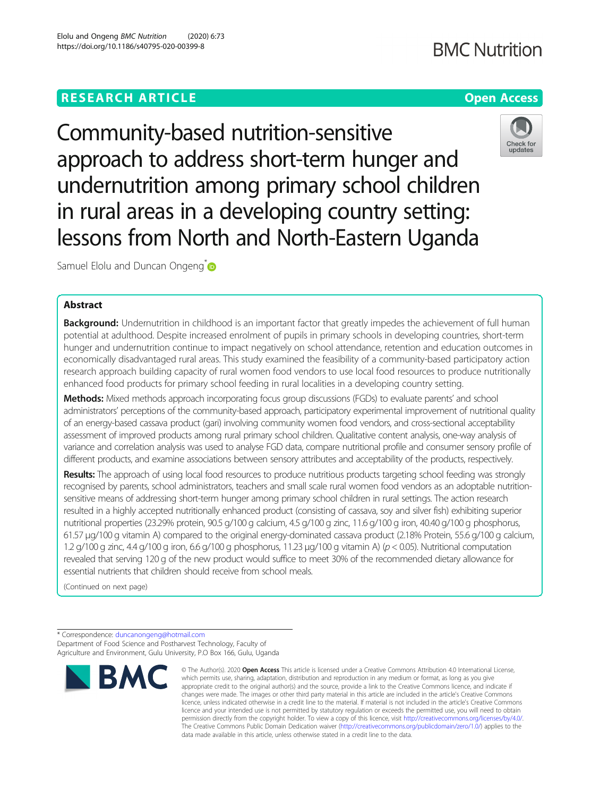# **RESEARCH ARTICLE Example 2014 12:30 The Company Access** (COMPANY) **Open Access**

**BMC Nutrition** 



Community-based nutrition-sensitive approach to address short-term hunger and undernutrition among primary school children in rural areas in a developing country setting: lessons from North and North-Eastern Uganda

Samuel Elolu and Duncan Ongeng<sup>\*</sup>

# Abstract

Background: Undernutrition in childhood is an important factor that greatly impedes the achievement of full human potential at adulthood. Despite increased enrolment of pupils in primary schools in developing countries, short-term hunger and undernutrition continue to impact negatively on school attendance, retention and education outcomes in economically disadvantaged rural areas. This study examined the feasibility of a community-based participatory action research approach building capacity of rural women food vendors to use local food resources to produce nutritionally enhanced food products for primary school feeding in rural localities in a developing country setting.

Methods: Mixed methods approach incorporating focus group discussions (FGDs) to evaluate parents' and school administrators' perceptions of the community-based approach, participatory experimental improvement of nutritional quality of an energy-based cassava product (gari) involving community women food vendors, and cross-sectional acceptability assessment of improved products among rural primary school children. Qualitative content analysis, one-way analysis of variance and correlation analysis was used to analyse FGD data, compare nutritional profile and consumer sensory profile of different products, and examine associations between sensory attributes and acceptability of the products, respectively.

Results: The approach of using local food resources to produce nutritious products targeting school feeding was strongly recognised by parents, school administrators, teachers and small scale rural women food vendors as an adoptable nutritionsensitive means of addressing short-term hunger among primary school children in rural settings. The action research resulted in a highly accepted nutritionally enhanced product (consisting of cassava, soy and silver fish) exhibiting superior nutritional properties (23.29% protein, 90.5 g/100 g calcium, 4.5 g/100 g zinc, 11.6 g/100 g iron, 40.40 g/100 g phosphorus, 61.57 μg/100 g vitamin A) compared to the original energy-dominated cassava product (2.18% Protein, 55.6 g/100 g calcium, 1.2 g/100 g zinc, 4.4 g/100 g iron, 6.6 g/100 g phosphorus, 11.23 μg/100 g vitamin A) (p < 0.05). Nutritional computation revealed that serving 120 g of the new product would suffice to meet 30% of the recommended dietary allowance for essential nutrients that children should receive from school meals.

(Continued on next page)

\* Correspondence: [duncanongeng@hotmail.com](mailto:duncanongeng@hotmail.com) Department of Food Science and Postharvest Technology, Faculty of Agriculture and Environment, Gulu University, P.O Box 166, Gulu, Uganda



<sup>©</sup> The Author(s), 2020 **Open Access** This article is licensed under a Creative Commons Attribution 4.0 International License, which permits use, sharing, adaptation, distribution and reproduction in any medium or format, as long as you give appropriate credit to the original author(s) and the source, provide a link to the Creative Commons licence, and indicate if changes were made. The images or other third party material in this article are included in the article's Creative Commons licence, unless indicated otherwise in a credit line to the material. If material is not included in the article's Creative Commons licence and your intended use is not permitted by statutory regulation or exceeds the permitted use, you will need to obtain permission directly from the copyright holder. To view a copy of this licence, visit [http://creativecommons.org/licenses/by/4.0/.](http://creativecommons.org/licenses/by/4.0/) The Creative Commons Public Domain Dedication waiver [\(http://creativecommons.org/publicdomain/zero/1.0/](http://creativecommons.org/publicdomain/zero/1.0/)) applies to the data made available in this article, unless otherwise stated in a credit line to the data.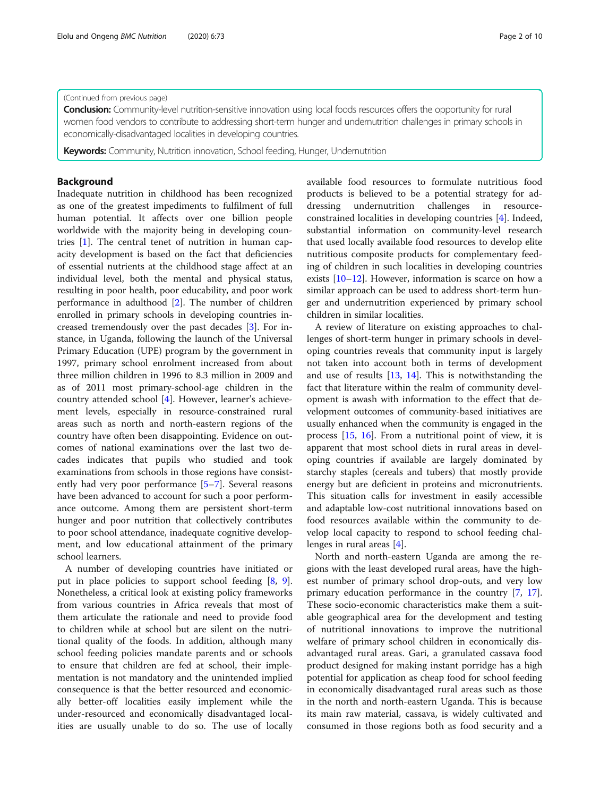#### (Continued from previous page)

**Conclusion:** Community-level nutrition-sensitive innovation using local foods resources offers the opportunity for rural women food vendors to contribute to addressing short-term hunger and undernutrition challenges in primary schools in economically-disadvantaged localities in developing countries.

**Keywords:** Community, Nutrition innovation, School feeding, Hunger, Undernutrition

# Background

Inadequate nutrition in childhood has been recognized as one of the greatest impediments to fulfilment of full human potential. It affects over one billion people worldwide with the majority being in developing countries [[1\]](#page-8-0). The central tenet of nutrition in human capacity development is based on the fact that deficiencies of essential nutrients at the childhood stage affect at an individual level, both the mental and physical status, resulting in poor health, poor educability, and poor work performance in adulthood [[2\]](#page-9-0). The number of children enrolled in primary schools in developing countries increased tremendously over the past decades [\[3](#page-9-0)]. For instance, in Uganda, following the launch of the Universal Primary Education (UPE) program by the government in 1997, primary school enrolment increased from about three million children in 1996 to 8.3 million in 2009 and as of 2011 most primary-school-age children in the country attended school [\[4](#page-9-0)]. However, learner's achievement levels, especially in resource-constrained rural areas such as north and north-eastern regions of the country have often been disappointing. Evidence on outcomes of national examinations over the last two decades indicates that pupils who studied and took examinations from schools in those regions have consistently had very poor performance [\[5](#page-9-0)–[7\]](#page-9-0). Several reasons have been advanced to account for such a poor performance outcome. Among them are persistent short-term hunger and poor nutrition that collectively contributes to poor school attendance, inadequate cognitive development, and low educational attainment of the primary school learners.

A number of developing countries have initiated or put in place policies to support school feeding [\[8](#page-9-0), [9](#page-9-0)]. Nonetheless, a critical look at existing policy frameworks from various countries in Africa reveals that most of them articulate the rationale and need to provide food to children while at school but are silent on the nutritional quality of the foods. In addition, although many school feeding policies mandate parents and or schools to ensure that children are fed at school, their implementation is not mandatory and the unintended implied consequence is that the better resourced and economically better-off localities easily implement while the under-resourced and economically disadvantaged localities are usually unable to do so. The use of locally

available food resources to formulate nutritious food products is believed to be a potential strategy for addressing undernutrition challenges in resourceconstrained localities in developing countries [\[4](#page-9-0)]. Indeed, substantial information on community-level research that used locally available food resources to develop elite nutritious composite products for complementary feeding of children in such localities in developing countries exists [[10](#page-9-0)–[12](#page-9-0)]. However, information is scarce on how a similar approach can be used to address short-term hunger and undernutrition experienced by primary school children in similar localities.

A review of literature on existing approaches to challenges of short-term hunger in primary schools in developing countries reveals that community input is largely not taken into account both in terms of development and use of results [\[13](#page-9-0), [14](#page-9-0)]. This is notwithstanding the fact that literature within the realm of community development is awash with information to the effect that development outcomes of community-based initiatives are usually enhanced when the community is engaged in the process [\[15](#page-9-0), [16](#page-9-0)]. From a nutritional point of view, it is apparent that most school diets in rural areas in developing countries if available are largely dominated by starchy staples (cereals and tubers) that mostly provide energy but are deficient in proteins and micronutrients. This situation calls for investment in easily accessible and adaptable low-cost nutritional innovations based on food resources available within the community to develop local capacity to respond to school feeding challenges in rural areas [\[4](#page-9-0)].

North and north-eastern Uganda are among the regions with the least developed rural areas, have the highest number of primary school drop-outs, and very low primary education performance in the country [[7,](#page-9-0) [17](#page-9-0)]. These socio-economic characteristics make them a suitable geographical area for the development and testing of nutritional innovations to improve the nutritional welfare of primary school children in economically disadvantaged rural areas. Gari, a granulated cassava food product designed for making instant porridge has a high potential for application as cheap food for school feeding in economically disadvantaged rural areas such as those in the north and north-eastern Uganda. This is because its main raw material, cassava, is widely cultivated and consumed in those regions both as food security and a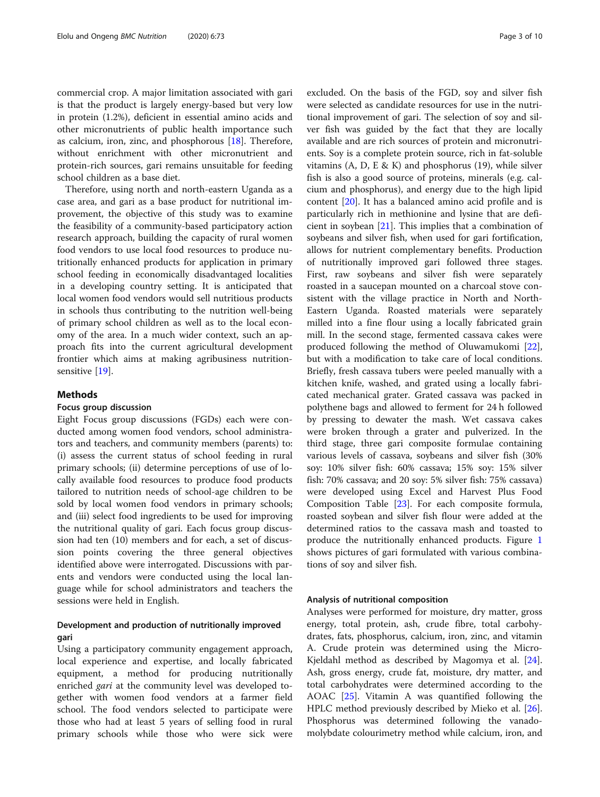commercial crop. A major limitation associated with gari is that the product is largely energy-based but very low in protein (1.2%), deficient in essential amino acids and other micronutrients of public health importance such as calcium, iron, zinc, and phosphorous [\[18](#page-9-0)]. Therefore, without enrichment with other micronutrient and protein-rich sources, gari remains unsuitable for feeding school children as a base diet.

Therefore, using north and north-eastern Uganda as a case area, and gari as a base product for nutritional improvement, the objective of this study was to examine the feasibility of a community-based participatory action research approach, building the capacity of rural women food vendors to use local food resources to produce nutritionally enhanced products for application in primary school feeding in economically disadvantaged localities in a developing country setting. It is anticipated that local women food vendors would sell nutritious products in schools thus contributing to the nutrition well-being of primary school children as well as to the local economy of the area. In a much wider context, such an approach fits into the current agricultural development frontier which aims at making agribusiness nutrition-sensitive [\[19](#page-9-0)].

# Methods

# Focus group discussion

Eight Focus group discussions (FGDs) each were conducted among women food vendors, school administrators and teachers, and community members (parents) to: (i) assess the current status of school feeding in rural primary schools; (ii) determine perceptions of use of locally available food resources to produce food products tailored to nutrition needs of school-age children to be sold by local women food vendors in primary schools; and (iii) select food ingredients to be used for improving the nutritional quality of gari. Each focus group discussion had ten (10) members and for each, a set of discussion points covering the three general objectives identified above were interrogated. Discussions with parents and vendors were conducted using the local language while for school administrators and teachers the sessions were held in English.

# Development and production of nutritionally improved gari

Using a participatory community engagement approach, local experience and expertise, and locally fabricated equipment, a method for producing nutritionally enriched gari at the community level was developed together with women food vendors at a farmer field school. The food vendors selected to participate were those who had at least 5 years of selling food in rural primary schools while those who were sick were excluded. On the basis of the FGD, soy and silver fish were selected as candidate resources for use in the nutritional improvement of gari. The selection of soy and silver fish was guided by the fact that they are locally available and are rich sources of protein and micronutrients. Soy is a complete protein source, rich in fat-soluble vitamins (A, D, E & K) and phosphorus (19), while silver fish is also a good source of proteins, minerals (e.g. calcium and phosphorus), and energy due to the high lipid content [\[20](#page-9-0)]. It has a balanced amino acid profile and is particularly rich in methionine and lysine that are deficient in soybean [[21](#page-9-0)]. This implies that a combination of soybeans and silver fish, when used for gari fortification, allows for nutrient complementary benefits. Production of nutritionally improved gari followed three stages. First, raw soybeans and silver fish were separately roasted in a saucepan mounted on a charcoal stove consistent with the village practice in North and North-Eastern Uganda. Roasted materials were separately milled into a fine flour using a locally fabricated grain mill. In the second stage, fermented cassava cakes were produced following the method of Oluwamukomi [\[22](#page-9-0)], but with a modification to take care of local conditions. Briefly, fresh cassava tubers were peeled manually with a kitchen knife, washed, and grated using a locally fabricated mechanical grater. Grated cassava was packed in polythene bags and allowed to ferment for 24 h followed by pressing to dewater the mash. Wet cassava cakes were broken through a grater and pulverized. In the third stage, three gari composite formulae containing various levels of cassava, soybeans and silver fish (30% soy: 10% silver fish: 60% cassava; 15% soy: 15% silver fish: 70% cassava; and 20 soy: 5% silver fish: 75% cassava) were developed using Excel and Harvest Plus Food Composition Table [\[23\]](#page-9-0). For each composite formula, roasted soybean and silver fish flour were added at the determined ratios to the cassava mash and toasted to produce the nutritionally enhanced products. Figure [1](#page-3-0) shows pictures of gari formulated with various combinations of soy and silver fish.

## Analysis of nutritional composition

Analyses were performed for moisture, dry matter, gross energy, total protein, ash, crude fibre, total carbohydrates, fats, phosphorus, calcium, iron, zinc, and vitamin A. Crude protein was determined using the Micro-Kjeldahl method as described by Magomya et al. [\[24](#page-9-0)]. Ash, gross energy, crude fat, moisture, dry matter, and total carbohydrates were determined according to the AOAC [[25\]](#page-9-0). Vitamin A was quantified following the HPLC method previously described by Mieko et al. [\[26](#page-9-0)]. Phosphorus was determined following the vanadomolybdate colourimetry method while calcium, iron, and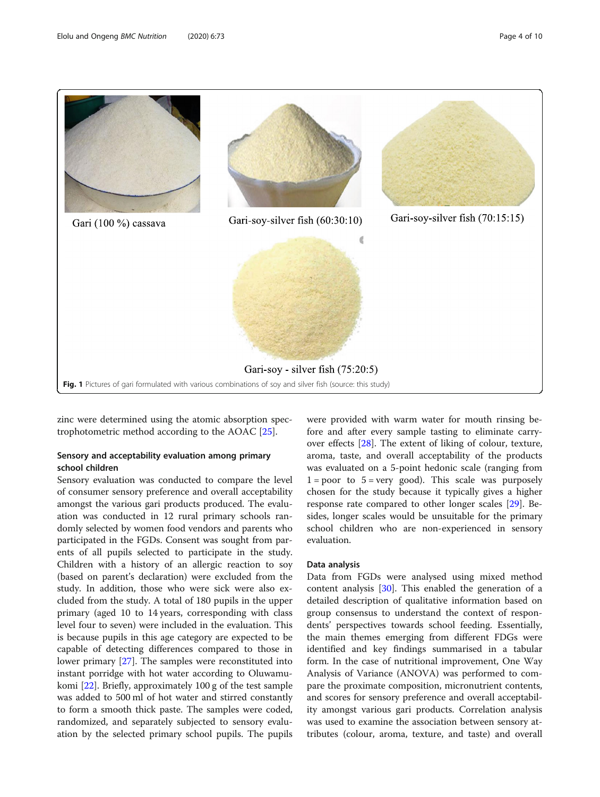<span id="page-3-0"></span>

zinc were determined using the atomic absorption spectrophotometric method according to the AOAC [\[25](#page-9-0)].

# Sensory and acceptability evaluation among primary school children

Sensory evaluation was conducted to compare the level of consumer sensory preference and overall acceptability amongst the various gari products produced. The evaluation was conducted in 12 rural primary schools randomly selected by women food vendors and parents who participated in the FGDs. Consent was sought from parents of all pupils selected to participate in the study. Children with a history of an allergic reaction to soy (based on parent's declaration) were excluded from the study. In addition, those who were sick were also excluded from the study. A total of 180 pupils in the upper primary (aged 10 to 14 years, corresponding with class level four to seven) were included in the evaluation. This is because pupils in this age category are expected to be capable of detecting differences compared to those in lower primary [\[27\]](#page-9-0). The samples were reconstituted into instant porridge with hot water according to Oluwamukomi [[22](#page-9-0)]. Briefly, approximately 100 g of the test sample was added to 500 ml of hot water and stirred constantly to form a smooth thick paste. The samples were coded, randomized, and separately subjected to sensory evaluation by the selected primary school pupils. The pupils were provided with warm water for mouth rinsing before and after every sample tasting to eliminate carryover effects [[28](#page-9-0)]. The extent of liking of colour, texture, aroma, taste, and overall acceptability of the products was evaluated on a 5-point hedonic scale (ranging from  $1 = poor to 5 = very good$ . This scale was purposely chosen for the study because it typically gives a higher response rate compared to other longer scales [[29\]](#page-9-0). Besides, longer scales would be unsuitable for the primary school children who are non-experienced in sensory evaluation.

#### Data analysis

Data from FGDs were analysed using mixed method content analysis [[30\]](#page-9-0). This enabled the generation of a detailed description of qualitative information based on group consensus to understand the context of respondents' perspectives towards school feeding. Essentially, the main themes emerging from different FDGs were identified and key findings summarised in a tabular form. In the case of nutritional improvement, One Way Analysis of Variance (ANOVA) was performed to compare the proximate composition, micronutrient contents, and scores for sensory preference and overall acceptability amongst various gari products. Correlation analysis was used to examine the association between sensory attributes (colour, aroma, texture, and taste) and overall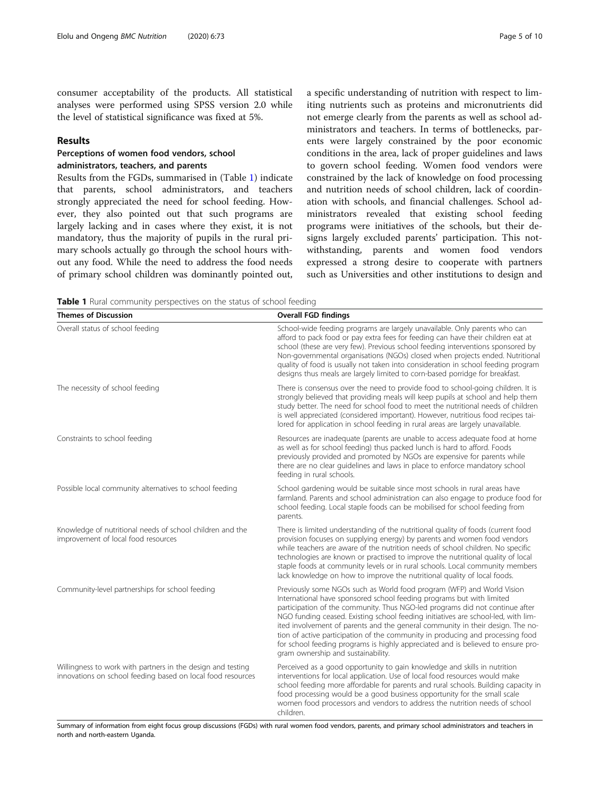consumer acceptability of the products. All statistical analyses were performed using SPSS version 2.0 while the level of statistical significance was fixed at 5%.

# Results

# Perceptions of women food vendors, school administrators, teachers, and parents

Results from the FGDs, summarised in (Table 1) indicate that parents, school administrators, and teachers strongly appreciated the need for school feeding. However, they also pointed out that such programs are largely lacking and in cases where they exist, it is not mandatory, thus the majority of pupils in the rural primary schools actually go through the school hours without any food. While the need to address the food needs of primary school children was dominantly pointed out,

a specific understanding of nutrition with respect to limiting nutrients such as proteins and micronutrients did not emerge clearly from the parents as well as school administrators and teachers. In terms of bottlenecks, parents were largely constrained by the poor economic conditions in the area, lack of proper guidelines and laws to govern school feeding. Women food vendors were constrained by the lack of knowledge on food processing and nutrition needs of school children, lack of coordination with schools, and financial challenges. School administrators revealed that existing school feeding programs were initiatives of the schools, but their designs largely excluded parents' participation. This notwithstanding, parents and women food vendors expressed a strong desire to cooperate with partners such as Universities and other institutions to design and

Table 1 Rural community perspectives on the status of school feeding

| <b>Themes of Discussion</b>                                                                                                | <b>Overall FGD findings</b>                                                                                                                                                                                                                                                                                                                                                                                                                                                                                                                                                                                        |
|----------------------------------------------------------------------------------------------------------------------------|--------------------------------------------------------------------------------------------------------------------------------------------------------------------------------------------------------------------------------------------------------------------------------------------------------------------------------------------------------------------------------------------------------------------------------------------------------------------------------------------------------------------------------------------------------------------------------------------------------------------|
| Overall status of school feeding                                                                                           | School-wide feeding programs are largely unavailable. Only parents who can<br>afford to pack food or pay extra fees for feeding can have their children eat at<br>school (these are very few). Previous school feeding interventions sponsored by<br>Non-governmental organisations (NGOs) closed when projects ended. Nutritional<br>quality of food is usually not taken into consideration in school feeding program<br>designs thus meals are largely limited to corn-based porridge for breakfast.                                                                                                            |
| The necessity of school feeding                                                                                            | There is consensus over the need to provide food to school-going children. It is<br>strongly believed that providing meals will keep pupils at school and help them<br>study better. The need for school food to meet the nutritional needs of children<br>is well appreciated (considered important). However, nutritious food recipes tai-<br>lored for application in school feeding in rural areas are largely unavailable.                                                                                                                                                                                    |
| Constraints to school feeding                                                                                              | Resources are inadequate (parents are unable to access adequate food at home<br>as well as for school feeding) thus packed lunch is hard to afford. Foods<br>previously provided and promoted by NGOs are expensive for parents while<br>there are no clear guidelines and laws in place to enforce mandatory school<br>feeding in rural schools.                                                                                                                                                                                                                                                                  |
| Possible local community alternatives to school feeding                                                                    | School gardening would be suitable since most schools in rural areas have<br>farmland. Parents and school administration can also engage to produce food for<br>school feeding. Local staple foods can be mobilised for school feeding from<br>parents.                                                                                                                                                                                                                                                                                                                                                            |
| Knowledge of nutritional needs of school children and the<br>improvement of local food resources                           | There is limited understanding of the nutritional quality of foods (current food<br>provision focuses on supplying energy) by parents and women food vendors<br>while teachers are aware of the nutrition needs of school children. No specific<br>technologies are known or practised to improve the nutritional quality of local<br>staple foods at community levels or in rural schools. Local community members<br>lack knowledge on how to improve the nutritional quality of local foods.                                                                                                                    |
| Community-level partnerships for school feeding                                                                            | Previously some NGOs such as World food program (WFP) and World Vision<br>International have sponsored school feeding programs but with limited<br>participation of the community. Thus NGO-led programs did not continue after<br>NGO funding ceased. Existing school feeding initiatives are school-led, with lim-<br>ited involvement of parents and the general community in their design. The no-<br>tion of active participation of the community in producing and processing food<br>for school feeding programs is highly appreciated and is believed to ensure pro-<br>gram ownership and sustainability. |
| Willingness to work with partners in the design and testing<br>innovations on school feeding based on local food resources | Perceived as a good opportunity to gain knowledge and skills in nutrition<br>interventions for local application. Use of local food resources would make<br>school feeding more affordable for parents and rural schools. Building capacity in<br>food processing would be a good business opportunity for the small scale<br>women food processors and vendors to address the nutrition needs of school<br>children                                                                                                                                                                                               |

Summary of information from eight focus group discussions (FGDs) with rural women food vendors, parents, and primary school administrators and teachers in north and north-eastern Uganda.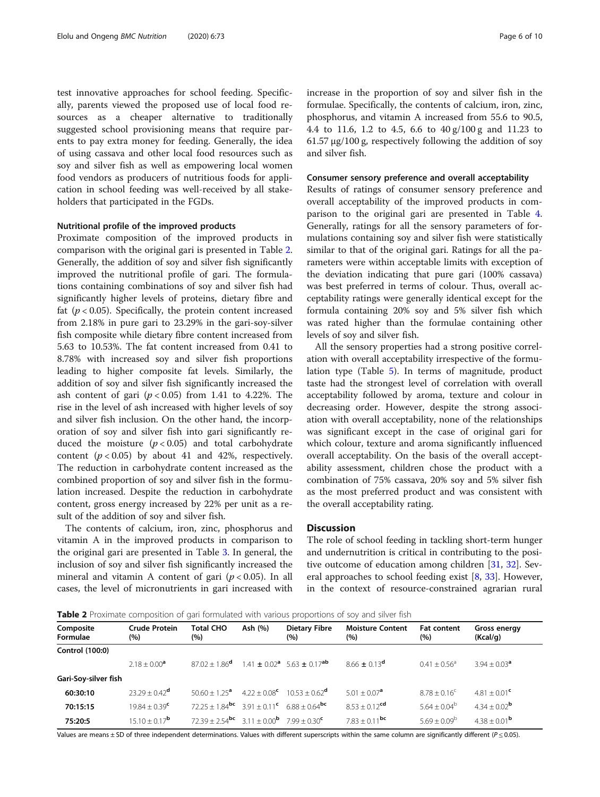<span id="page-5-0"></span>test innovative approaches for school feeding. Specifically, parents viewed the proposed use of local food resources as a cheaper alternative to traditionally suggested school provisioning means that require parents to pay extra money for feeding. Generally, the idea of using cassava and other local food resources such as soy and silver fish as well as empowering local women food vendors as producers of nutritious foods for application in school feeding was well-received by all stakeholders that participated in the FGDs.

#### Nutritional profile of the improved products

Proximate composition of the improved products in comparison with the original gari is presented in Table 2. Generally, the addition of soy and silver fish significantly improved the nutritional profile of gari. The formulations containing combinations of soy and silver fish had significantly higher levels of proteins, dietary fibre and fat ( $p < 0.05$ ). Specifically, the protein content increased from 2.18% in pure gari to 23.29% in the gari-soy-silver fish composite while dietary fibre content increased from 5.63 to 10.53%. The fat content increased from 0.41 to 8.78% with increased soy and silver fish proportions leading to higher composite fat levels. Similarly, the addition of soy and silver fish significantly increased the ash content of gari  $(p < 0.05)$  from 1.41 to 4.22%. The rise in the level of ash increased with higher levels of soy and silver fish inclusion. On the other hand, the incorporation of soy and silver fish into gari significantly reduced the moisture  $(p < 0.05)$  and total carbohydrate content  $(p < 0.05)$  by about 41 and 42%, respectively. The reduction in carbohydrate content increased as the combined proportion of soy and silver fish in the formulation increased. Despite the reduction in carbohydrate content, gross energy increased by 22% per unit as a result of the addition of soy and silver fish.

The contents of calcium, iron, zinc, phosphorus and vitamin A in the improved products in comparison to the original gari are presented in Table [3.](#page-6-0) In general, the inclusion of soy and silver fish significantly increased the mineral and vitamin A content of gari ( $p < 0.05$ ). In all cases, the level of micronutrients in gari increased with increase in the proportion of soy and silver fish in the formulae. Specifically, the contents of calcium, iron, zinc, phosphorus, and vitamin A increased from 55.6 to 90.5, 4.4 to 11.6, 1.2 to 4.5, 6.6 to 40 g/100 g and 11.23 to 61.57 μg/100 g, respectively following the addition of soy and silver fish.

#### Consumer sensory preference and overall acceptability

Results of ratings of consumer sensory preference and overall acceptability of the improved products in comparison to the original gari are presented in Table [4](#page-6-0). Generally, ratings for all the sensory parameters of formulations containing soy and silver fish were statistically similar to that of the original gari. Ratings for all the parameters were within acceptable limits with exception of the deviation indicating that pure gari (100% cassava) was best preferred in terms of colour. Thus, overall acceptability ratings were generally identical except for the formula containing 20% soy and 5% silver fish which was rated higher than the formulae containing other levels of soy and silver fish.

All the sensory properties had a strong positive correlation with overall acceptability irrespective of the formulation type (Table [5](#page-7-0)). In terms of magnitude, product taste had the strongest level of correlation with overall acceptability followed by aroma, texture and colour in decreasing order. However, despite the strong association with overall acceptability, none of the relationships was significant except in the case of original gari for which colour, texture and aroma significantly influenced overall acceptability. On the basis of the overall acceptability assessment, children chose the product with a combination of 75% cassava, 20% soy and 5% silver fish as the most preferred product and was consistent with the overall acceptability rating.

#### **Discussion**

The role of school feeding in tackling short-term hunger and undernutrition is critical in contributing to the positive outcome of education among children [\[31](#page-9-0), [32](#page-9-0)]. Several approaches to school feeding exist [\[8](#page-9-0), [33](#page-9-0)]. However, in the context of resource-constrained agrarian rural

Table 2 Proximate composition of gari formulated with various proportions of soy and silver fish

| Composite<br>Formulae | <b>Crude Protein</b><br>(%) | <b>Total CHO</b><br>(%)                                                       | Ash (%)      | <b>Dietary Fibre</b><br>(%)                              | <b>Moisture Content</b><br>(% ) | <b>Fat content</b><br>(%) | Gross energy<br>(Kcal/q)   |
|-----------------------|-----------------------------|-------------------------------------------------------------------------------|--------------|----------------------------------------------------------|---------------------------------|---------------------------|----------------------------|
| Control (100:0)       |                             |                                                                               |              |                                                          |                                 |                           |                            |
|                       | $2.18 \pm 0.00^a$           | $87.02 + 1.86^{\text{d}}$                                                     |              | $1.41 \pm 0.02^{\text{a}}$ 5.63 $\pm$ 0.17 <sup>ab</sup> | $866 + 013^d$                   | $0.41 + 0.56^{\circ}$     | $3.94 + 0.03^{\circ}$      |
| Gari-Soy-silver fish  |                             |                                                                               |              |                                                          |                                 |                           |                            |
| 60:30:10              | $23.29 \pm 0.42^{\text{d}}$ | $5060 + 125$ <sup>a</sup>                                                     | $422 + 0.08$ | $10.53 + 0.62$ <sup>d</sup>                              | $5.01 + 0.07^a$                 | $8.78 \pm 0.16^c$         | $4.81 + 0.01$ <sup>c</sup> |
| 70:15:15              | $19.84 + 0.39^{\text{c}}$   | $7225 + 184$ <sup>bc</sup> $391 + 011$ <sup>c</sup> $688 + 064$ <sup>bc</sup> |              |                                                          | $8.53 + 0.12$ <sup>cd</sup>     | $5.64 + 0.04^b$           | $4.34 \pm 0.02^{\rm b}$    |
| 75:20:5               | $15.10 \pm 0.17^{\rm b}$    | $7239 + 254$ <sup>bc</sup> $311 + 000$ <sup>b</sup> $799 + 030$ <sup>c</sup>  |              |                                                          | $7.83 + 0.11$ <sup>bc</sup>     | $569 + 009^b$             | $4.38 + 0.01^{\mathsf{b}}$ |

Values are means ± SD of three independent determinations. Values with different superscripts within the same column are significantly different ( $P \le 0.05$ ).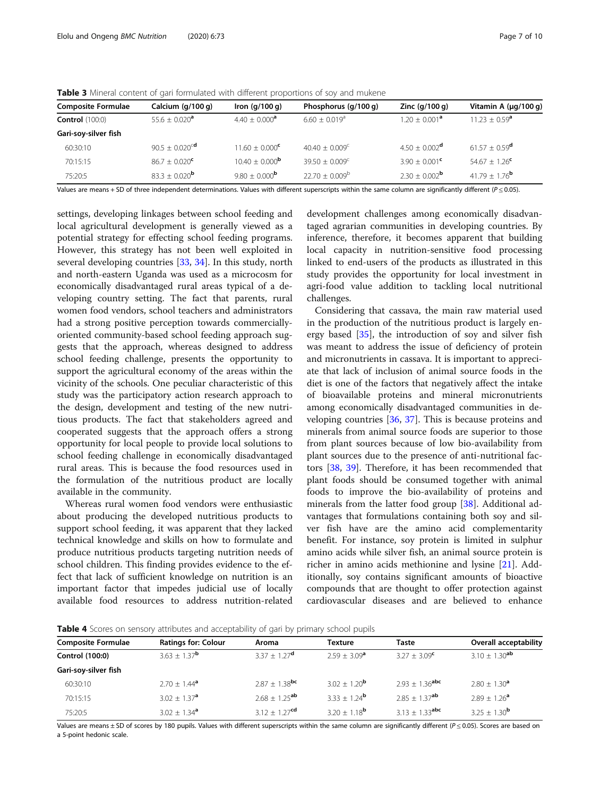| <b>Composite Formulae</b> | Calcium (g/100 g)              | Iron $(q/100 q)$             | Phosphorus (g/100 g)        | Zinc $(q/100 q)$            | Vitamin A $(\mu q/100 q)$     |
|---------------------------|--------------------------------|------------------------------|-----------------------------|-----------------------------|-------------------------------|
| <b>Control</b> (100:0)    | $55.6 + 0.020^a$               | $4.40 \pm 0.000^a$           | $6.60 + 0.019$ <sup>a</sup> | $1.20 + 0.001^a$            | $11.23 + 0.59^{\circ}$        |
| Gari-soy-silver fish      |                                |                              |                             |                             |                               |
| 60:30:10                  | 90.5 $\pm$ 0.020 <sup>cd</sup> | $11.60 + 0.000^{\circ}$      | $40.40 + 0.009^{\circ}$     | $4.50 + 0.002^{\text{d}}$   | $61.57 \pm 0.59^{\text{d}}$   |
| 70:15:15                  | $86.7 \pm 0.020^{\circ}$       | $10.40 \pm 0.000^{\text{b}}$ | $39.50 + 0.009^{\circ}$     | $3.90 + 0.001^{\circ}$      | $54.67 + 1.26^{\text{c}}$     |
| 75:20:5                   | $83.3 + 0.020^b$               | 9.80 + 0.000 <sup>b</sup>    | $22.70 + 0.009^{\circ}$     | $2.30 + 0.002^{\mathsf{b}}$ | $41.79 \pm 1.76$ <sup>b</sup> |
|                           |                                |                              |                             |                             |                               |

<span id="page-6-0"></span>Table 3 Mineral content of gari formulated with different proportions of soy and mukene

Values are means + SD of three independent determinations. Values with different superscripts within the same column are significantly different  $(P < 0.05)$ .

settings, developing linkages between school feeding and local agricultural development is generally viewed as a potential strategy for effecting school feeding programs. However, this strategy has not been well exploited in several developing countries [\[33](#page-9-0), [34](#page-9-0)]. In this study, north and north-eastern Uganda was used as a microcosm for economically disadvantaged rural areas typical of a developing country setting. The fact that parents, rural women food vendors, school teachers and administrators had a strong positive perception towards commerciallyoriented community-based school feeding approach suggests that the approach, whereas designed to address school feeding challenge, presents the opportunity to support the agricultural economy of the areas within the vicinity of the schools. One peculiar characteristic of this study was the participatory action research approach to the design, development and testing of the new nutritious products. The fact that stakeholders agreed and cooperated suggests that the approach offers a strong opportunity for local people to provide local solutions to school feeding challenge in economically disadvantaged rural areas. This is because the food resources used in the formulation of the nutritious product are locally available in the community.

Whereas rural women food vendors were enthusiastic about producing the developed nutritious products to support school feeding, it was apparent that they lacked technical knowledge and skills on how to formulate and produce nutritious products targeting nutrition needs of school children. This finding provides evidence to the effect that lack of sufficient knowledge on nutrition is an important factor that impedes judicial use of locally available food resources to address nutrition-related

development challenges among economically disadvantaged agrarian communities in developing countries. By inference, therefore, it becomes apparent that building local capacity in nutrition-sensitive food processing linked to end-users of the products as illustrated in this study provides the opportunity for local investment in agri-food value addition to tackling local nutritional challenges.

Considering that cassava, the main raw material used in the production of the nutritious product is largely energy based [[35\]](#page-9-0), the introduction of soy and silver fish was meant to address the issue of deficiency of protein and micronutrients in cassava. It is important to appreciate that lack of inclusion of animal source foods in the diet is one of the factors that negatively affect the intake of bioavailable proteins and mineral micronutrients among economically disadvantaged communities in developing countries [[36,](#page-9-0) [37\]](#page-9-0). This is because proteins and minerals from animal source foods are superior to those from plant sources because of low bio-availability from plant sources due to the presence of anti-nutritional factors [[38](#page-9-0), [39](#page-9-0)]. Therefore, it has been recommended that plant foods should be consumed together with animal foods to improve the bio-availability of proteins and minerals from the latter food group [\[38\]](#page-9-0). Additional advantages that formulations containing both soy and silver fish have are the amino acid complementarity benefit. For instance, soy protein is limited in sulphur amino acids while silver fish, an animal source protein is richer in amino acids methionine and lysine [[21](#page-9-0)]. Additionally, soy contains significant amounts of bioactive compounds that are thought to offer protection against cardiovascular diseases and are believed to enhance

**Table 4** Scores on sensory attributes and acceptability of gari by primary school pupils

| <b>Composite Formulae</b> | <b>Ratings for: Colour</b>   | Aroma                         | <b>Texture</b>    | Taste                        | <b>Overall acceptability</b> |
|---------------------------|------------------------------|-------------------------------|-------------------|------------------------------|------------------------------|
| Control (100:0)           | 3.63 $\pm$ 1.37 <sup>b</sup> | $3.37 + 1.27^{\text{d}}$      | $2.59 + 3.09^a$   | $3.27 \pm 3.09^{\circ}$      | $3.10 + 1.30$ <sup>ab</sup>  |
| Gari-soy-silver fish      |                              |                               |                   |                              |                              |
| 60:30:10                  | $2.70 \pm 1.44^{\circ}$      | $2.87 + 1.38$ <sup>bc</sup>   | $3.02 + 1.20^b$   | $2.93 + 1.36$ <sup>abc</sup> | $2.80 \pm 1.30^{\circ}$      |
| 70:15:15                  | $3.02 \pm 1.37^{\circ}$      | $2.68 \pm 1.25$ <sup>ab</sup> | $3.33 + 1.24^b$   | $2.85 + 1.37$ <sup>ab</sup>  | $2.89 \pm 1.26^{\circ}$      |
| 75:20:5                   | $3.02 \pm 1.34^{\circ}$      | $3.12 + 1.27$ <sup>cd</sup>   | $3.20 + 1.18^{b}$ | $3.13 + 1.33$ <sup>abc</sup> | $3.25 + 1.30^b$              |
|                           |                              |                               |                   |                              |                              |

Values are means  $\pm$  SD of scores by 180 pupils. Values with different superscripts within the same column are significantly different ( $P \le 0.05$ ). Scores are based on a 5-point hedonic scale.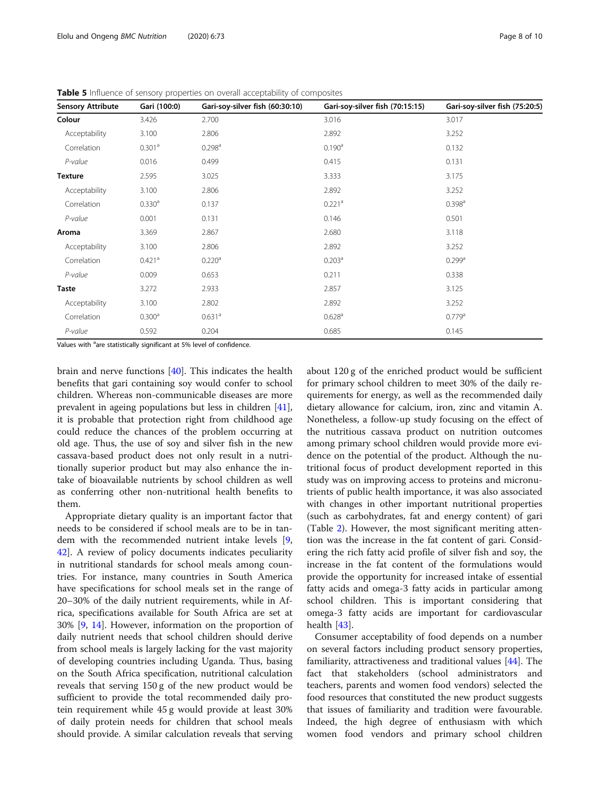| <b>Sensory Attribute</b> | Gari (100:0)         | Gari-soy-silver fish (60:30:10) | Gari-soy-silver fish (70:15:15) | Gari-soy-silver fish (75:20:5) |
|--------------------------|----------------------|---------------------------------|---------------------------------|--------------------------------|
| Colour                   | 3.426                | 2.700                           | 3.016                           | 3.017                          |
| Acceptability            | 3.100                | 2.806                           | 2.892                           | 3.252                          |
| Correlation              | 0.301 <sup>a</sup>   | 0.298 <sup>a</sup>              | 0.190 <sup>a</sup>              | 0.132                          |
| P-value                  | 0.016                | 0.499                           | 0.415                           | 0.131                          |
| <b>Texture</b>           | 2.595                | 3.025                           | 3.333                           | 3.175                          |
| Acceptability            | 3.100                | 2.806                           | 2.892                           | 3.252                          |
| Correlation              | 0.330 <sup>a</sup>   | 0.137                           | $0.221$ <sup>a</sup>            | 0.398 <sup>a</sup>             |
| P-value                  | 0.001                | 0.131                           | 0.146                           | 0.501                          |
| Aroma                    | 3.369                | 2.867                           | 2.680                           | 3.118                          |
| Acceptability            | 3.100                | 2.806                           | 2.892                           | 3.252                          |
| Correlation              | $0.421$ <sup>a</sup> | 0.220 <sup>a</sup>              | 0.203 <sup>a</sup>              | $0.299$ <sup>a</sup>           |
| P-value                  | 0.009                | 0.653                           | 0.211                           | 0.338                          |
| <b>Taste</b>             | 3.272                | 2.933                           | 2.857                           | 3.125                          |
| Acceptability            | 3.100                | 2.802                           | 2.892                           | 3.252                          |
| Correlation              | 0.300 <sup>a</sup>   | 0.631 <sup>a</sup>              | 0.628 <sup>a</sup>              | 0.779a                         |
| P-value                  | 0.592                | 0.204                           | 0.685                           | 0.145                          |

<span id="page-7-0"></span>Table 5 Influence of sensory properties on overall acceptability of composites

Values with <sup>a</sup>are statistically significant at 5% level of confidence.

brain and nerve functions [[40\]](#page-9-0). This indicates the health benefits that gari containing soy would confer to school children. Whereas non-communicable diseases are more prevalent in ageing populations but less in children [\[41](#page-9-0)], it is probable that protection right from childhood age could reduce the chances of the problem occurring at old age. Thus, the use of soy and silver fish in the new cassava-based product does not only result in a nutritionally superior product but may also enhance the intake of bioavailable nutrients by school children as well as conferring other non-nutritional health benefits to them.

Appropriate dietary quality is an important factor that needs to be considered if school meals are to be in tandem with the recommended nutrient intake levels [\[9](#page-9-0), [42\]](#page-9-0). A review of policy documents indicates peculiarity in nutritional standards for school meals among countries. For instance, many countries in South America have specifications for school meals set in the range of 20–30% of the daily nutrient requirements, while in Africa, specifications available for South Africa are set at 30% [\[9](#page-9-0), [14\]](#page-9-0). However, information on the proportion of daily nutrient needs that school children should derive from school meals is largely lacking for the vast majority of developing countries including Uganda. Thus, basing on the South Africa specification, nutritional calculation reveals that serving 150 g of the new product would be sufficient to provide the total recommended daily protein requirement while 45 g would provide at least 30% of daily protein needs for children that school meals should provide. A similar calculation reveals that serving

about 120 g of the enriched product would be sufficient for primary school children to meet 30% of the daily requirements for energy, as well as the recommended daily dietary allowance for calcium, iron, zinc and vitamin A. Nonetheless, a follow-up study focusing on the effect of the nutritious cassava product on nutrition outcomes among primary school children would provide more evidence on the potential of the product. Although the nutritional focus of product development reported in this study was on improving access to proteins and micronutrients of public health importance, it was also associated with changes in other important nutritional properties (such as carbohydrates, fat and energy content) of gari (Table [2](#page-5-0)). However, the most significant meriting attention was the increase in the fat content of gari. Considering the rich fatty acid profile of silver fish and soy, the increase in the fat content of the formulations would provide the opportunity for increased intake of essential fatty acids and omega-3 fatty acids in particular among school children. This is important considering that omega-3 fatty acids are important for cardiovascular health [[43\]](#page-9-0).

Consumer acceptability of food depends on a number on several factors including product sensory properties, familiarity, attractiveness and traditional values [\[44\]](#page-9-0). The fact that stakeholders (school administrators and teachers, parents and women food vendors) selected the food resources that constituted the new product suggests that issues of familiarity and tradition were favourable. Indeed, the high degree of enthusiasm with which women food vendors and primary school children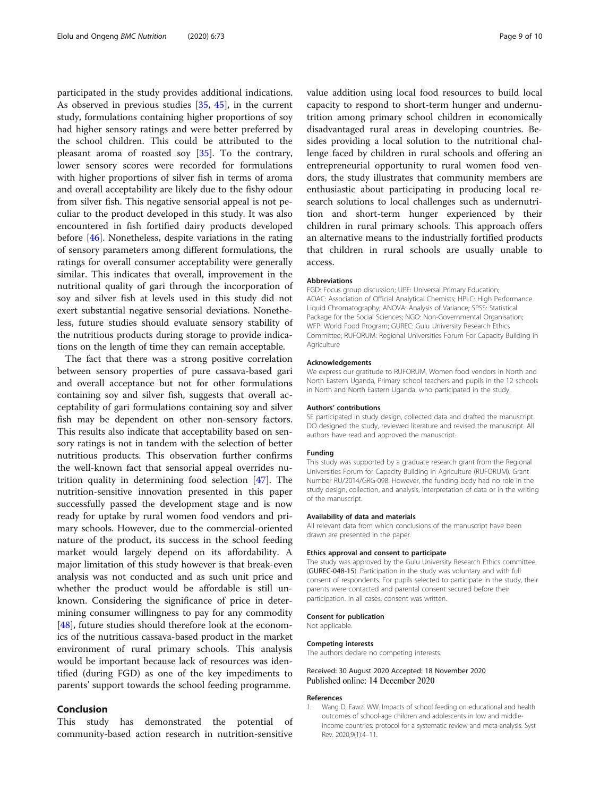<span id="page-8-0"></span>participated in the study provides additional indications. As observed in previous studies [[35,](#page-9-0) [45\]](#page-9-0), in the current study, formulations containing higher proportions of soy had higher sensory ratings and were better preferred by the school children. This could be attributed to the pleasant aroma of roasted soy [[35\]](#page-9-0). To the contrary, lower sensory scores were recorded for formulations with higher proportions of silver fish in terms of aroma and overall acceptability are likely due to the fishy odour from silver fish. This negative sensorial appeal is not peculiar to the product developed in this study. It was also encountered in fish fortified dairy products developed before [[46\]](#page-9-0). Nonetheless, despite variations in the rating of sensory parameters among different formulations, the ratings for overall consumer acceptability were generally similar. This indicates that overall, improvement in the nutritional quality of gari through the incorporation of soy and silver fish at levels used in this study did not exert substantial negative sensorial deviations. Nonetheless, future studies should evaluate sensory stability of the nutritious products during storage to provide indications on the length of time they can remain acceptable.

The fact that there was a strong positive correlation between sensory properties of pure cassava-based gari and overall acceptance but not for other formulations containing soy and silver fish, suggests that overall acceptability of gari formulations containing soy and silver fish may be dependent on other non-sensory factors. This results also indicate that acceptability based on sensory ratings is not in tandem with the selection of better nutritious products. This observation further confirms the well-known fact that sensorial appeal overrides nutrition quality in determining food selection [\[47](#page-9-0)]. The nutrition-sensitive innovation presented in this paper successfully passed the development stage and is now ready for uptake by rural women food vendors and primary schools. However, due to the commercial-oriented nature of the product, its success in the school feeding market would largely depend on its affordability. A major limitation of this study however is that break-even analysis was not conducted and as such unit price and whether the product would be affordable is still unknown. Considering the significance of price in determining consumer willingness to pay for any commodity [[48\]](#page-9-0), future studies should therefore look at the economics of the nutritious cassava-based product in the market environment of rural primary schools. This analysis would be important because lack of resources was identified (during FGD) as one of the key impediments to parents' support towards the school feeding programme.

# Conclusion

This study has demonstrated the potential of community-based action research in nutrition-sensitive value addition using local food resources to build local capacity to respond to short-term hunger and undernutrition among primary school children in economically disadvantaged rural areas in developing countries. Besides providing a local solution to the nutritional challenge faced by children in rural schools and offering an entrepreneurial opportunity to rural women food vendors, the study illustrates that community members are enthusiastic about participating in producing local research solutions to local challenges such as undernutrition and short-term hunger experienced by their children in rural primary schools. This approach offers an alternative means to the industrially fortified products that children in rural schools are usually unable to access.

#### Abbreviations

FGD: Focus group discussion; UPE: Universal Primary Education; AOAC: Association of Official Analytical Chemists; HPLC: High Performance Liquid Chromatography; ANOVA: Analysis of Variance; SPSS: Statistical Package for the Social Sciences; NGO: Non-Governmental Organisation; WFP: World Food Program; GUREC: Gulu University Research Ethics Committee; RUFORUM: Regional Universities Forum For Capacity Building in Agriculture

#### Acknowledgements

We express our gratitude to RUFORUM, Women food vendors in North and North Eastern Uganda, Primary school teachers and pupils in the 12 schools in North and North Eastern Uganda, who participated in the study.

#### Authors' contributions

SE participated in study design, collected data and drafted the manuscript. DO designed the study, reviewed literature and revised the manuscript. All authors have read and approved the manuscript.

#### Funding

This study was supported by a graduate research grant from the Regional Universities Forum for Capacity Building in Agriculture (RUFORUM). Grant Number RU/2014/GRG-098. However, the funding body had no role in the study design, collection, and analysis, interpretation of data or in the writing of the manuscript.

#### Availability of data and materials

All relevant data from which conclusions of the manuscript have been drawn are presented in the paper.

#### Ethics approval and consent to participate

The study was approved by the Gulu University Research Ethics committee, (GUREC-048-15). Participation in the study was voluntary and with full consent of respondents. For pupils selected to participate in the study, their parents were contacted and parental consent secured before their participation. In all cases, consent was written.

#### Consent for publication

Not applicable.

#### Competing interests

The authors declare no competing interests.

#### Received: 30 August 2020 Accepted: 18 November 2020 Published online: 14 December 2020

#### References

1. Wang D, Fawzi WW. Impacts of school feeding on educational and health outcomes of school-age children and adolescents in low and middleincome countries: protocol for a systematic review and meta-analysis. Syst Rev. 2020;9(1):4–11.